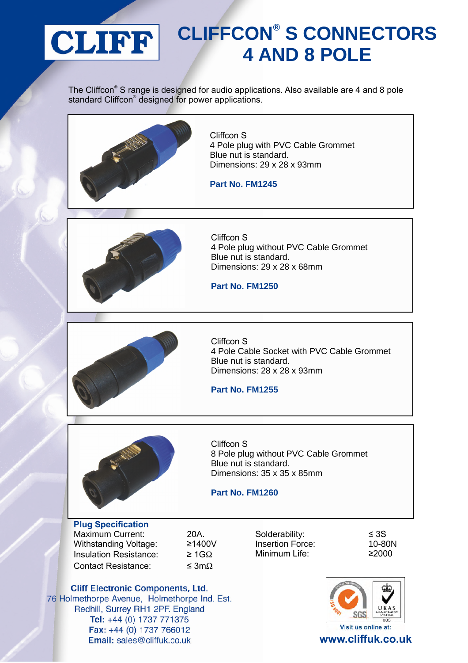

## **CLIFFCON® S CONNECTORS 4 AND 8 POLE**

The Cliffcon® S range is designed for audio applications. Also available are 4 and 8 pole standard Cliffcon® designed for power applications.



Cliffcon S 4 Pole plug with PVC Cable Grommet Blue nut is standard. Dimensions: 29 x 28 x 93mm

**Part No. FM1245**



Cliffcon S 4 Pole plug without PVC Cable Grommet Blue nut is standard. Dimensions: 29 x 28 x 68mm

**Part No. FM1250**



Cliffcon S 4 Pole Cable Socket with PVC Cable Grommet Blue nut is standard. Dimensions: 28 x 28 x 93mm

**Part No. FM1255**



Cliffcon S 8 Pole plug without PVC Cable Grommet Blue nut is standard. Dimensions: 35 x 35 x 85mm

**Part No. FM1260**

**Plug Specification** Maximum Current: 20A. Withstanding Voltage: ≥1400V Insulation Resistance:  $\geq 1 \text{G}\Omega$ Contact Resistance:  $\leq 3m\Omega$ 

Solderability: ≤ 3S Insertion Force: 10-80N Minimum Life: ≥2000



**Cliff Electronic Components, Ltd.** 76 Holmethorpe Avenue, Holmethorpe Ind. Est. Redhill, Surrey RH1 2PF. England Tel: +44 (0) 1737 771375 Fax: +44 (0) 1737 766012 Email: sales@cliffuk.co.uk